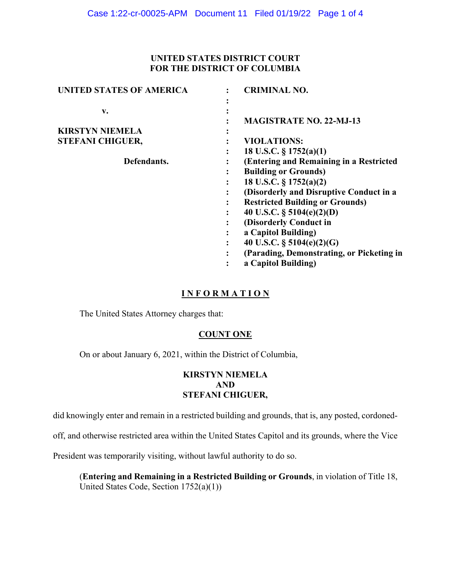## **UNITED STATES DISTRICT COURT FOR THE DISTRICT OF COLUMBIA**

| <b>UNITED STATES OF AMERICA</b> | <b>CRIMINAL NO.</b>                       |
|---------------------------------|-------------------------------------------|
|                                 |                                           |
| v.                              |                                           |
|                                 | <b>MAGISTRATE NO. 22-MJ-13</b>            |
| <b>KIRSTYN NIEMELA</b>          |                                           |
| <b>STEFANI CHIGUER,</b>         | <b>VIOLATIONS:</b>                        |
|                                 | 18 U.S.C. $\S 1752(a)(1)$                 |
| Defendants.                     | (Entering and Remaining in a Restricted   |
|                                 | <b>Building or Grounds)</b>               |
|                                 | 18 U.S.C. § 1752(a)(2)                    |
|                                 | (Disorderly and Disruptive Conduct in a   |
|                                 | <b>Restricted Building or Grounds)</b>    |
|                                 | 40 U.S.C. $\S$ 5104(e)(2)(D)              |
|                                 | (Disorderly Conduct in                    |
|                                 | a Capitol Building)                       |
|                                 | 40 U.S.C. $\S$ 5104(e)(2)(G)              |
|                                 | (Parading, Demonstrating, or Picketing in |
|                                 | a Capitol Building)                       |
|                                 |                                           |

# **I N F O R M A T I O N**

The United States Attorney charges that:

### **COUNT ONE**

On or about January 6, 2021, within the District of Columbia,

# **KIRSTYN NIEMELA AND STEFANI CHIGUER,**

did knowingly enter and remain in a restricted building and grounds, that is, any posted, cordoned-

off, and otherwise restricted area within the United States Capitol and its grounds, where the Vice

President was temporarily visiting, without lawful authority to do so.

(**Entering and Remaining in a Restricted Building or Grounds**, in violation of Title 18, United States Code, Section 1752(a)(1))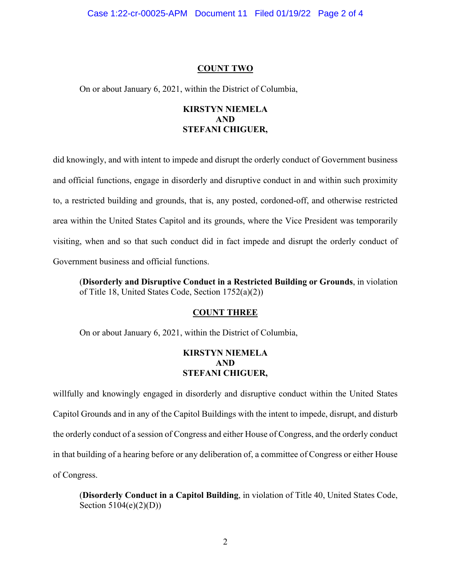Case 1:22-cr-00025-APM Document 11 Filed 01/19/22 Page 2 of 4

#### **COUNT TWO**

On or about January 6, 2021, within the District of Columbia,

# **KIRSTYN NIEMELA AND STEFANI CHIGUER,**

did knowingly, and with intent to impede and disrupt the orderly conduct of Government business and official functions, engage in disorderly and disruptive conduct in and within such proximity to, a restricted building and grounds, that is, any posted, cordoned-off, and otherwise restricted area within the United States Capitol and its grounds, where the Vice President was temporarily visiting, when and so that such conduct did in fact impede and disrupt the orderly conduct of Government business and official functions.

(**Disorderly and Disruptive Conduct in a Restricted Building or Grounds**, in violation of Title 18, United States Code, Section 1752(a)(2))

### **COUNT THREE**

On or about January 6, 2021, within the District of Columbia,

### **KIRSTYN NIEMELA AND STEFANI CHIGUER,**

willfully and knowingly engaged in disorderly and disruptive conduct within the United States Capitol Grounds and in any of the Capitol Buildings with the intent to impede, disrupt, and disturb the orderly conduct of a session of Congress and either House of Congress, and the orderly conduct in that building of a hearing before or any deliberation of, a committee of Congress or either House of Congress.

(**Disorderly Conduct in a Capitol Building**, in violation of Title 40, United States Code, Section 5104(e)(2)(D))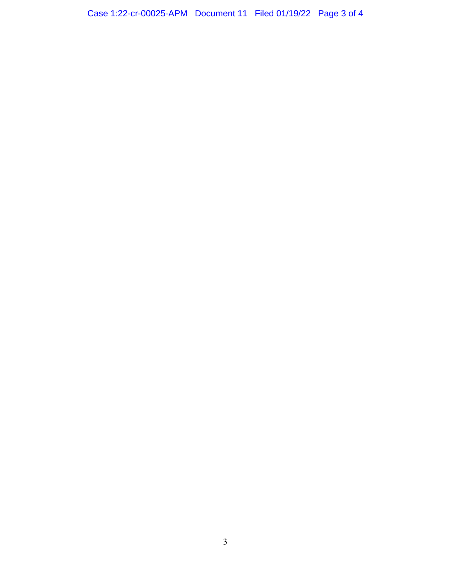Case 1:22-cr-00025-APM Document 11 Filed 01/19/22 Page 3 of 4